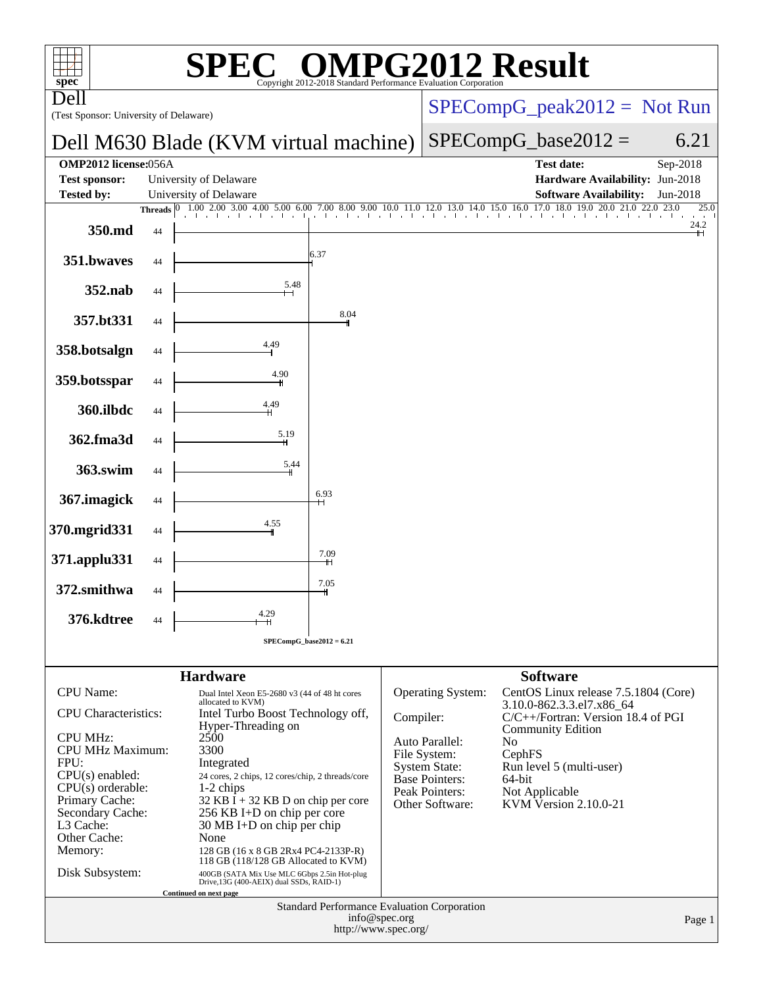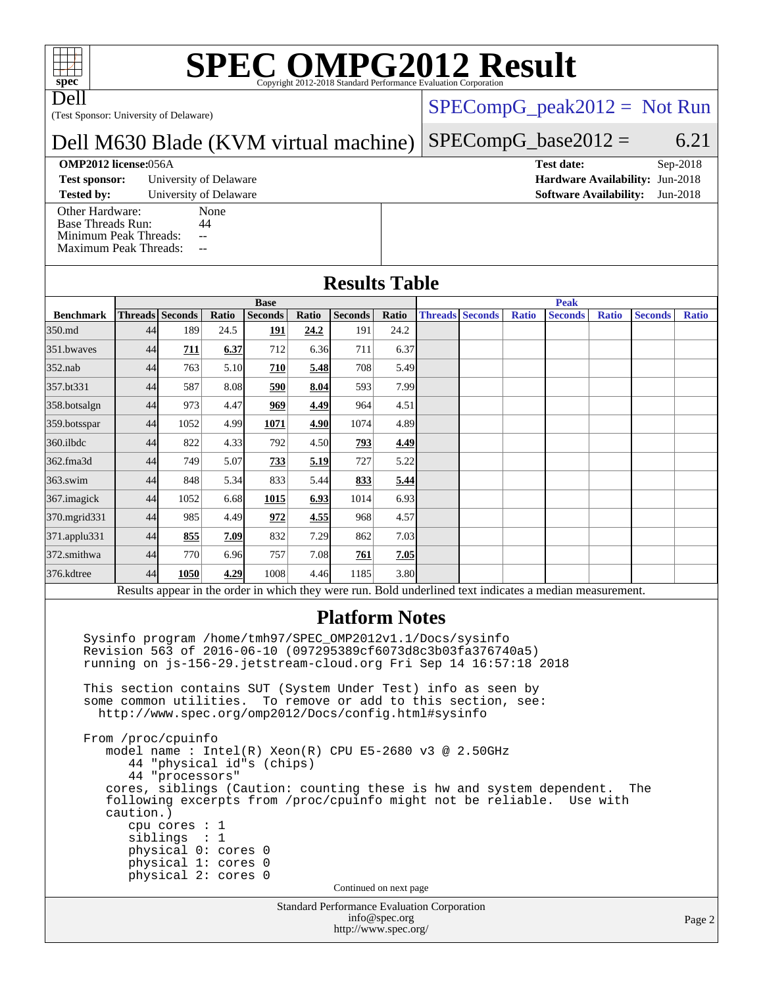# **[SPEC OMPG2012 Result](http://www.spec.org/auto/omp2012/Docs/result-fields.html#SPECOMPG2012Result)**

Dell

(Test Sponsor: University of Delaware)

### $SPECompG_peak2012 = Not Run$  $SPECompG_peak2012 = Not Run$

#### Dell M630 Blade (KVM virtual machine)  $SPECompG_base2012 = 6.21$  $SPECompG_base2012 = 6.21$

#### **[OMP2012 license:](http://www.spec.org/auto/omp2012/Docs/result-fields.html#OMP2012license)**056A **[Test date:](http://www.spec.org/auto/omp2012/Docs/result-fields.html#Testdate)** Sep-2018

**[Test sponsor:](http://www.spec.org/auto/omp2012/Docs/result-fields.html#Testsponsor)** University of Delaware **[Hardware Availability:](http://www.spec.org/auto/omp2012/Docs/result-fields.html#HardwareAvailability)** Jun-2018

**[Tested by:](http://www.spec.org/auto/omp2012/Docs/result-fields.html#Testedby)** University of Delaware **[Software Availability:](http://www.spec.org/auto/omp2012/Docs/result-fields.html#SoftwareAvailability)** Jun-2018

[Other Hardware:](http://www.spec.org/auto/omp2012/Docs/result-fields.html#OtherHardware) None<br>Base Threads Run: 44 [Base Threads Run:](http://www.spec.org/auto/omp2012/Docs/result-fields.html#BaseThreadsRun) [Minimum Peak Threads:](http://www.spec.org/auto/omp2012/Docs/result-fields.html#MinimumPeakThreads) --[Maximum Peak Threads:](http://www.spec.org/auto/omp2012/Docs/result-fields.html#MaximumPeakThreads) --

### **[Results Table](http://www.spec.org/auto/omp2012/Docs/result-fields.html#ResultsTable)**

|                  | <b>Base</b> |                 |       |                | <b>Peak</b> |                |       |  |                        |              |                                                                                                         |              |                |              |
|------------------|-------------|-----------------|-------|----------------|-------------|----------------|-------|--|------------------------|--------------|---------------------------------------------------------------------------------------------------------|--------------|----------------|--------------|
| <b>Benchmark</b> |             | Threads Seconds | Ratio | <b>Seconds</b> | Ratio       | <b>Seconds</b> | Ratio |  | <b>Threads Seconds</b> | <b>Ratio</b> | <b>Seconds</b>                                                                                          | <b>Ratio</b> | <b>Seconds</b> | <b>Ratio</b> |
| 350.md           | 44          | 189             | 24.5  | <u>191</u>     | 24.2        | 191            | 24.2  |  |                        |              |                                                                                                         |              |                |              |
| 351.bwaves       | 44          | 711             | 6.37  | 712            | 6.36        | 711            | 6.37  |  |                        |              |                                                                                                         |              |                |              |
| $352$ .nab       | 44          | 763             | 5.10  | 710            | 5.48        | 708            | 5.49  |  |                        |              |                                                                                                         |              |                |              |
| 357.bt331        | 44          | 587             | 8.08  | 590            | 8.04        | 593            | 7.99  |  |                        |              |                                                                                                         |              |                |              |
| 358.botsalgn     | 44          | 973             | 4.47  | 969            | 4.49        | 964            | 4.51  |  |                        |              |                                                                                                         |              |                |              |
| 359.botsspar     | 44          | 1052            | 4.99  | 1071           | 4.90        | 1074           | 4.89  |  |                        |              |                                                                                                         |              |                |              |
| 360.ilbdc        | 44          | 822             | 4.33  | 792            | 4.50        | 793            | 4.49  |  |                        |              |                                                                                                         |              |                |              |
| 362.fma3d        | 44          | 749             | 5.07  | 733            | 5.19        | 727            | 5.22  |  |                        |              |                                                                                                         |              |                |              |
| $363$ .swim      | 44          | 848             | 5.34  | 833            | 5.44        | 833            | 5.44  |  |                        |              |                                                                                                         |              |                |              |
| 367.imagick      | 44          | 1052            | 6.68  | 1015           | 6.93        | 1014           | 6.93  |  |                        |              |                                                                                                         |              |                |              |
| 370.mgrid331     | 44          | 985             | 4.49  | 972            | 4.55        | 968            | 4.57  |  |                        |              |                                                                                                         |              |                |              |
| 371.applu331     | 44          | 855             | 7.09  | 832            | 7.29        | 862            | 7.03  |  |                        |              |                                                                                                         |              |                |              |
| 372.smithwa      | 44          | 770             | 6.96  | 757            | 7.08        | 761            | 7.05  |  |                        |              |                                                                                                         |              |                |              |
| 376.kdtree       | 44          | 1050            | 4.29  | 1008           | 4.46        | 1185           | 3.80  |  |                        |              |                                                                                                         |              |                |              |
|                  |             |                 |       |                |             |                |       |  |                        |              | Docults appear in the order in which they were run. Rold underlined text indicates a modian measurement |              |                |              |

Results appear in the [order in which they were run.](http://www.spec.org/auto/omp2012/Docs/result-fields.html#RunOrder) Bold underlined text [indicates a median measurement.](http://www.spec.org/auto/omp2012/Docs/result-fields.html#Median)

#### **[Platform Notes](http://www.spec.org/auto/omp2012/Docs/result-fields.html#PlatformNotes)**

 Sysinfo program /home/tmh97/SPEC\_OMP2012v1.1/Docs/sysinfo Revision 563 of 2016-06-10 (097295389cf6073d8c3b03fa376740a5) running on js-156-29.jetstream-cloud.org Fri Sep 14 16:57:18 2018 This section contains SUT (System Under Test) info as seen by some common utilities. To remove or add to this section, see: <http://www.spec.org/omp2012/Docs/config.html#sysinfo>

 From /proc/cpuinfo model name : Intel(R) Xeon(R) CPU E5-2680 v3 @ 2.50GHz 44 "physical id"s (chips) 44 "processors" cores, siblings (Caution: counting these is hw and system dependent. The following excerpts from /proc/cpuinfo might not be reliable. Use with caution.) cpu cores : 1 siblings : 1 physical 0: cores 0 physical 1: cores 0 physical 2: cores 0 Continued on next page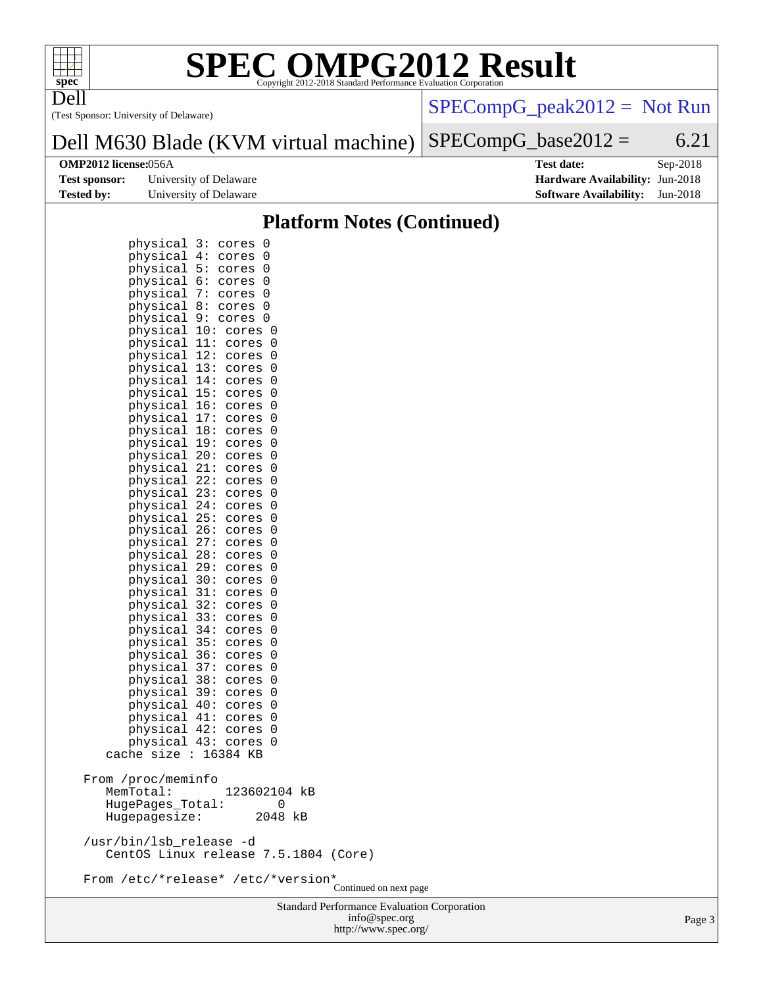

Dell

# **[SPEC OMPG2012 Result](http://www.spec.org/auto/omp2012/Docs/result-fields.html#SPECOMPG2012Result)**

(Test Sponsor: University of Delaware)

[SPECompG\\_peak2012 =](http://www.spec.org/auto/omp2012/Docs/result-fields.html#SPECompGpeak2012) Not Run

#### Dell M630 Blade (KVM virtual machine)  $SPECompG_base2012 = 6.21$  $SPECompG_base2012 = 6.21$

| <b>Test sponsor:</b> | University of Delaware |
|----------------------|------------------------|
| Tested by:           | University of Delaware |

**[OMP2012 license:](http://www.spec.org/auto/omp2012/Docs/result-fields.html#OMP2012license)**056A **[Test date:](http://www.spec.org/auto/omp2012/Docs/result-fields.html#Testdate)** Sep-2018 **[Hardware Availability:](http://www.spec.org/auto/omp2012/Docs/result-fields.html#HardwareAvailability)** Jun-2018 **[Software Availability:](http://www.spec.org/auto/omp2012/Docs/result-fields.html#SoftwareAvailability)** Jun-2018

#### **[Platform Notes \(Continued\)](http://www.spec.org/auto/omp2012/Docs/result-fields.html#PlatformNotes)**

| physical<br>physical<br>physical<br>physical<br>physical<br>physical<br>physical<br>physical<br>physical<br>physical<br>physical 13:<br>physical 14:<br>physical 15:<br>physical 16:<br>physical 17:<br>physical<br>physical 19:<br>physical 20:<br>physical 21:<br>physical<br>physical 23:<br>physical<br>physical 25:<br>physical 26:<br>physical<br>physical 28:<br>physical 29:<br>physical<br>physical<br>physical<br>physical<br>physical 34:<br>physical 35:<br>physical<br>physical 37:<br>physical<br>physical<br>physical 40:<br>physical<br>physical<br>physical | 3:<br>0<br>cores<br>4:<br>0<br>cores<br>5:<br>0<br>cores<br>6:<br>0<br>cores<br>7:<br>0<br>cores<br>8:<br>0<br>cores<br>9 :<br>0<br>cores<br>10:<br>0<br>cores<br>11:<br>0<br>cores<br>12:<br>cores<br>0<br>0<br>cores<br>cores<br>0<br>cores<br>0<br>0<br>cores<br>cores<br>0<br>18:<br>0<br>cores<br>0<br>cores<br>cores<br>0<br>cores<br>0<br>22:<br>0<br>cores<br>cores<br>0<br>24:<br>0<br>cores<br>0<br>cores<br>cores<br>0<br>27:<br>cores<br>0<br>0<br>cores<br>cores<br>0<br>30:<br>0<br>cores<br>31:<br>0<br>cores<br>32:<br>cores<br>0<br>33:<br>cores<br>0<br>0<br>cores<br>cores<br>0<br>36:<br>0<br>cores<br>0<br>cores<br>38:<br>cores<br>0<br>39:<br>cores<br>0<br>0<br>cores<br>41:<br>cores<br>0<br>42:<br>0<br>cores<br>43:<br>0<br>cores |                        |
|------------------------------------------------------------------------------------------------------------------------------------------------------------------------------------------------------------------------------------------------------------------------------------------------------------------------------------------------------------------------------------------------------------------------------------------------------------------------------------------------------------------------------------------------------------------------------|--------------------------------------------------------------------------------------------------------------------------------------------------------------------------------------------------------------------------------------------------------------------------------------------------------------------------------------------------------------------------------------------------------------------------------------------------------------------------------------------------------------------------------------------------------------------------------------------------------------------------------------------------------------------------------------------------------------------------------------------------------------|------------------------|
|                                                                                                                                                                                                                                                                                                                                                                                                                                                                                                                                                                              |                                                                                                                                                                                                                                                                                                                                                                                                                                                                                                                                                                                                                                                                                                                                                              |                        |
| cache size :<br>From /proc/meminfo<br>MemTotal:<br>HugePages_Total:<br>Hugepagesize:                                                                                                                                                                                                                                                                                                                                                                                                                                                                                         | 16384 KB<br>123602104 kB<br>0<br>2048 kB                                                                                                                                                                                                                                                                                                                                                                                                                                                                                                                                                                                                                                                                                                                     |                        |
| /usr/bin/lsb_release -d                                                                                                                                                                                                                                                                                                                                                                                                                                                                                                                                                      | CentOS Linux release 7.5.1804 (Core)                                                                                                                                                                                                                                                                                                                                                                                                                                                                                                                                                                                                                                                                                                                         |                        |
|                                                                                                                                                                                                                                                                                                                                                                                                                                                                                                                                                                              | From /etc/*release* /etc/*version*                                                                                                                                                                                                                                                                                                                                                                                                                                                                                                                                                                                                                                                                                                                           | Continued on next page |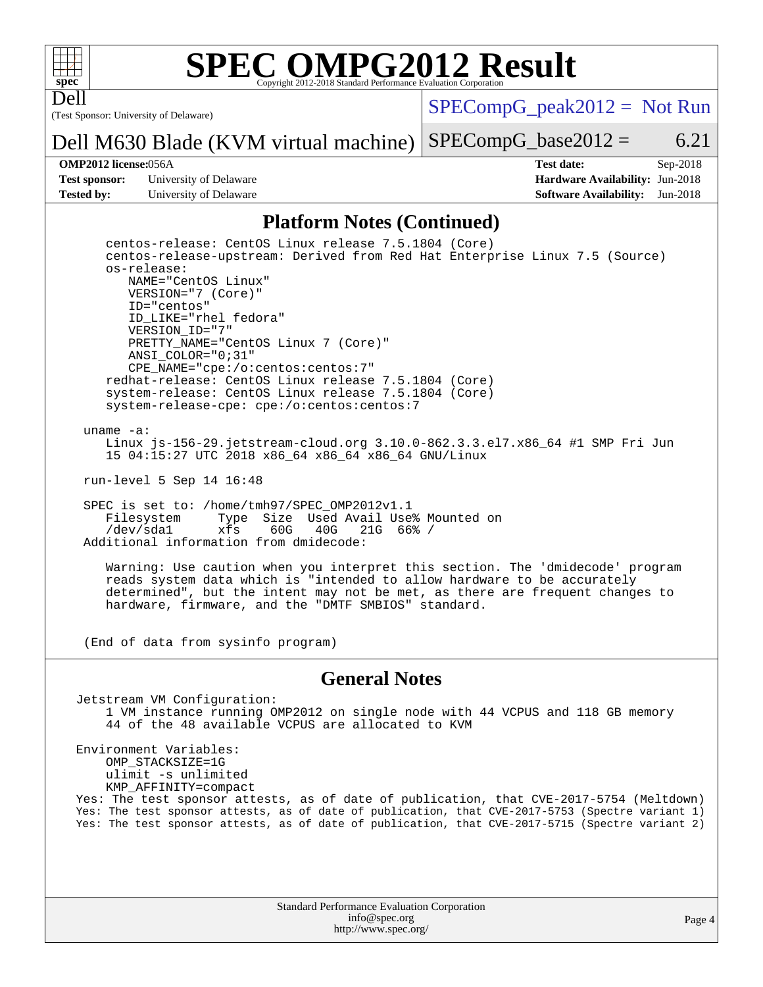

Dell

# **[SPEC OMPG2012 Result](http://www.spec.org/auto/omp2012/Docs/result-fields.html#SPECOMPG2012Result)**

(Test Sponsor: University of Delaware)

 $SPECompG_peak2012 = Not Run$  $SPECompG_peak2012 = Not Run$ 

 $SPECompG_base2012 = 6.21$  $SPECompG_base2012 = 6.21$ 

**[Test sponsor:](http://www.spec.org/auto/omp2012/Docs/result-fields.html#Testsponsor)** University of Delaware **[Hardware Availability:](http://www.spec.org/auto/omp2012/Docs/result-fields.html#HardwareAvailability)** Jun-2018 **[Tested by:](http://www.spec.org/auto/omp2012/Docs/result-fields.html#Testedby)** University of Delaware **[Software Availability:](http://www.spec.org/auto/omp2012/Docs/result-fields.html#SoftwareAvailability)** Jun-2018

Dell M630 Blade (KVM virtual machine)

**[OMP2012 license:](http://www.spec.org/auto/omp2012/Docs/result-fields.html#OMP2012license)**056A **[Test date:](http://www.spec.org/auto/omp2012/Docs/result-fields.html#Testdate)** Sep-2018

#### **[Platform Notes \(Continued\)](http://www.spec.org/auto/omp2012/Docs/result-fields.html#PlatformNotes)**

 centos-release: CentOS Linux release 7.5.1804 (Core) centos-release-upstream: Derived from Red Hat Enterprise Linux 7.5 (Source) os-release: NAME="CentOS Linux" VERSION="7 (Core)" ID="centos" ID\_LIKE="rhel fedora" VERSION\_ID="7" PRETTY\_NAME="CentOS Linux 7 (Core)" ANSI\_COLOR="0;31" CPE\_NAME="cpe:/o:centos:centos:7" redhat-release: CentOS Linux release 7.5.1804 (Core) system-release: CentOS Linux release 7.5.1804 (Core) system-release-cpe: cpe:/o:centos:centos:7

uname -a:

 Linux js-156-29.jetstream-cloud.org 3.10.0-862.3.3.el7.x86\_64 #1 SMP Fri Jun 15 04:15:27 UTC 2018 x86\_64 x86\_64 x86\_64 GNU/Linux

run-level 5 Sep 14 16:48

SPEC is set to: /home/tmh97/SPEC\_OMP2012v1.1<br>Filesystem Type Size Used Avail Use Type Size Used Avail Use% Mounted on<br>xfs 60G 40G 21G 66% / /dev/sda1 xfs 60G 40G 21G 66% / Additional information from dmidecode:

 Warning: Use caution when you interpret this section. The 'dmidecode' program reads system data which is "intended to allow hardware to be accurately determined", but the intent may not be met, as there are frequent changes to hardware, firmware, and the "DMTF SMBIOS" standard.

(End of data from sysinfo program)

#### **[General Notes](http://www.spec.org/auto/omp2012/Docs/result-fields.html#GeneralNotes)**

Jetstream VM Configuration: 1 VM instance running OMP2012 on single node with 44 VCPUS and 118 GB memory 44 of the 48 available VCPUS are allocated to KVM

Environment Variables: OMP\_STACKSIZE=1G ulimit -s unlimited KMP\_AFFINITY=compact Yes: The test sponsor attests, as of date of publication, that CVE-2017-5754 (Meltdown) Yes: The test sponsor attests, as of date of publication, that CVE-2017-5753 (Spectre variant 1) Yes: The test sponsor attests, as of date of publication, that CVE-2017-5715 (Spectre variant 2)